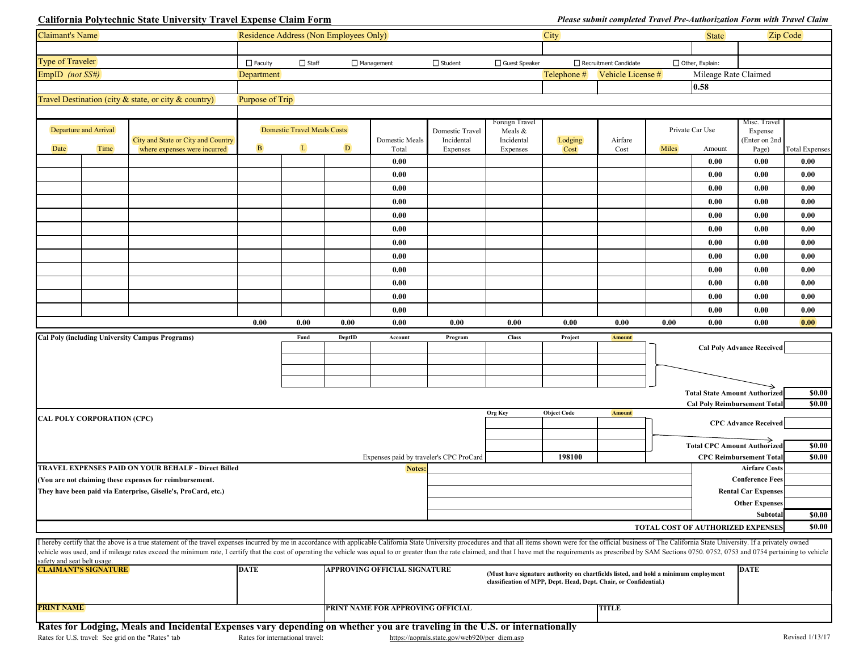## **California Polytechnic State University Travel Expense Claim Form**

| <b>Claimant's Name</b>      |                                   |                                                                                                                                                                                                                                                                                                                                                                                                                                                                 | Residence Address (Non Employees Only)  |              |        |                                     |                                               | <b>City</b>           |                    |                                                                                     | <b>State</b>    | Zip Code                             |                                                     |                       |
|-----------------------------|-----------------------------------|-----------------------------------------------------------------------------------------------------------------------------------------------------------------------------------------------------------------------------------------------------------------------------------------------------------------------------------------------------------------------------------------------------------------------------------------------------------------|-----------------------------------------|--------------|--------|-------------------------------------|-----------------------------------------------|-----------------------|--------------------|-------------------------------------------------------------------------------------|-----------------|--------------------------------------|-----------------------------------------------------|-----------------------|
|                             |                                   |                                                                                                                                                                                                                                                                                                                                                                                                                                                                 |                                         |              |        |                                     |                                               |                       |                    |                                                                                     |                 |                                      |                                                     |                       |
| <b>Type of Traveler</b>     |                                   |                                                                                                                                                                                                                                                                                                                                                                                                                                                                 | $\Box$ Faculty                          | $\Box$ Staff |        | $\Box$ Management                   | $\Box$ Student                                | □ Guest Speaker       |                    | Recruitment Candidate                                                               |                 | $\Box$ Other, Explain:               |                                                     |                       |
| EmpID (not $SS#$ )          |                                   |                                                                                                                                                                                                                                                                                                                                                                                                                                                                 | <b>Department</b>                       |              |        |                                     |                                               |                       | Telephone #        | Vehicle License #                                                                   |                 | Mileage Rate Claimed                 |                                                     |                       |
|                             |                                   |                                                                                                                                                                                                                                                                                                                                                                                                                                                                 |                                         |              |        |                                     |                                               |                       |                    |                                                                                     |                 | 0.58                                 |                                                     |                       |
|                             |                                   | Travel Destination (city $\&$ state, or city $\&$ country)                                                                                                                                                                                                                                                                                                                                                                                                      | Purpose of Trip                         |              |        |                                     |                                               |                       |                    |                                                                                     |                 |                                      |                                                     |                       |
|                             |                                   |                                                                                                                                                                                                                                                                                                                                                                                                                                                                 |                                         |              |        |                                     |                                               |                       |                    |                                                                                     |                 |                                      |                                                     |                       |
| Departure and Arrival       |                                   |                                                                                                                                                                                                                                                                                                                                                                                                                                                                 | <b>Domestic Travel Meals Costs</b>      |              |        |                                     |                                               | Foreign Travel        |                    |                                                                                     | Private Car Use |                                      | Misc. Travel                                        |                       |
|                             |                                   | City and State or City and Country                                                                                                                                                                                                                                                                                                                                                                                                                              |                                         |              |        | Domestic Meals                      | Domestic Travel<br>Incidental                 | Meals &<br>Incidental | Lodging            | Airfare                                                                             |                 |                                      | Expense<br>(Enter on 2nd                            |                       |
| Date                        | Time                              | where expenses were incurred                                                                                                                                                                                                                                                                                                                                                                                                                                    | B                                       | L            | D      | Total                               | Expenses                                      | Expenses              | Cost               | Cost                                                                                | Miles           | Amount                               | Page)                                               | <b>Total Expenses</b> |
|                             |                                   |                                                                                                                                                                                                                                                                                                                                                                                                                                                                 |                                         |              |        | 0.00                                |                                               |                       |                    |                                                                                     |                 | 0.00                                 | 0.00                                                | 0.00                  |
|                             |                                   |                                                                                                                                                                                                                                                                                                                                                                                                                                                                 |                                         |              |        | 0.00                                |                                               |                       |                    |                                                                                     |                 | 0.00                                 | 0.00                                                | 0.00                  |
|                             |                                   |                                                                                                                                                                                                                                                                                                                                                                                                                                                                 |                                         |              |        | 0.00                                |                                               |                       |                    |                                                                                     |                 | 0.00                                 | 0.00                                                | 0.00                  |
|                             |                                   |                                                                                                                                                                                                                                                                                                                                                                                                                                                                 |                                         |              |        | 0.00                                |                                               |                       |                    |                                                                                     |                 | 0.00                                 | 0.00                                                | 0.00                  |
|                             |                                   |                                                                                                                                                                                                                                                                                                                                                                                                                                                                 |                                         |              |        | 0.00                                |                                               |                       |                    |                                                                                     |                 | 0.00                                 | 0.00                                                | 0.00                  |
|                             |                                   |                                                                                                                                                                                                                                                                                                                                                                                                                                                                 |                                         |              |        | 0.00                                |                                               |                       |                    |                                                                                     |                 | 0.00                                 | 0.00                                                | 0.00                  |
|                             |                                   |                                                                                                                                                                                                                                                                                                                                                                                                                                                                 |                                         |              |        | 0.00                                |                                               |                       |                    |                                                                                     |                 | 0.00                                 | 0.00                                                | 0.00                  |
|                             |                                   |                                                                                                                                                                                                                                                                                                                                                                                                                                                                 |                                         |              |        | 0.00                                |                                               |                       |                    |                                                                                     |                 | 0.00                                 | 0.00                                                | 0.00                  |
|                             |                                   |                                                                                                                                                                                                                                                                                                                                                                                                                                                                 |                                         |              |        | 0.00                                |                                               |                       |                    |                                                                                     |                 | 0.00                                 | 0.00                                                | 0.00                  |
|                             |                                   |                                                                                                                                                                                                                                                                                                                                                                                                                                                                 |                                         |              |        | 0.00                                |                                               |                       |                    |                                                                                     |                 | 0.00                                 | 0.00                                                | 0.00                  |
|                             |                                   |                                                                                                                                                                                                                                                                                                                                                                                                                                                                 |                                         |              |        | 0.00                                |                                               |                       |                    |                                                                                     |                 | 0.00                                 | 0.00                                                | 0.00                  |
|                             |                                   |                                                                                                                                                                                                                                                                                                                                                                                                                                                                 |                                         |              |        | 0.00                                |                                               |                       |                    |                                                                                     |                 | 0.00                                 | 0.00                                                | 0.00                  |
|                             |                                   |                                                                                                                                                                                                                                                                                                                                                                                                                                                                 | 0.00                                    | 0.00         | 0.00   | 0.00                                | 0.00                                          | 0.00                  | 0.00               | 0.00                                                                                | 0.00            | 0.00                                 | 0.00                                                | $\boxed{0.00}$        |
|                             |                                   |                                                                                                                                                                                                                                                                                                                                                                                                                                                                 |                                         |              |        |                                     |                                               |                       |                    |                                                                                     |                 |                                      |                                                     |                       |
|                             |                                   | <b>Cal Poly (including University Campus Programs)</b>                                                                                                                                                                                                                                                                                                                                                                                                          |                                         | Fund         | DeptID | Account                             | Program                                       | <b>Class</b>          | Project            | <b>Amount</b>                                                                       |                 |                                      | <b>Cal Poly Advance Received</b>                    |                       |
|                             |                                   |                                                                                                                                                                                                                                                                                                                                                                                                                                                                 |                                         |              |        |                                     |                                               |                       |                    |                                                                                     |                 |                                      |                                                     |                       |
|                             |                                   |                                                                                                                                                                                                                                                                                                                                                                                                                                                                 |                                         |              |        |                                     |                                               |                       |                    |                                                                                     |                 |                                      |                                                     |                       |
|                             |                                   |                                                                                                                                                                                                                                                                                                                                                                                                                                                                 |                                         |              |        |                                     |                                               |                       |                    |                                                                                     |                 |                                      |                                                     |                       |
|                             |                                   |                                                                                                                                                                                                                                                                                                                                                                                                                                                                 |                                         |              |        |                                     |                                               |                       |                    |                                                                                     |                 | <b>Total State Amount Authorized</b> |                                                     | \$0.00                |
|                             |                                   |                                                                                                                                                                                                                                                                                                                                                                                                                                                                 |                                         |              |        |                                     |                                               | <b>Org Key</b>        | <b>Object Code</b> | <b>Amount</b>                                                                       |                 | <b>Cal Poly Reimbursement Total</b>  |                                                     | \$0.00                |
|                             | <b>CAL POLY CORPORATION (CPC)</b> |                                                                                                                                                                                                                                                                                                                                                                                                                                                                 |                                         |              |        |                                     |                                               |                       |                    |                                                                                     |                 |                                      | <b>CPC Advance Received</b>                         |                       |
|                             |                                   |                                                                                                                                                                                                                                                                                                                                                                                                                                                                 |                                         |              |        |                                     |                                               |                       |                    |                                                                                     |                 |                                      |                                                     |                       |
|                             |                                   |                                                                                                                                                                                                                                                                                                                                                                                                                                                                 |                                         |              |        |                                     |                                               |                       |                    |                                                                                     |                 | <b>Total CPC Amount Authorized</b>   |                                                     | \$0.00                |
|                             |                                   |                                                                                                                                                                                                                                                                                                                                                                                                                                                                 | Expenses paid by traveler's CPC ProCard |              |        |                                     | 198100                                        |                       |                    | <b>CPC Reimbursement Total</b><br>\$0.00                                            |                 |                                      |                                                     |                       |
|                             |                                   | <b>TRAVEL EXPENSES PAID ON YOUR BEHALF - Direct Billed</b>                                                                                                                                                                                                                                                                                                                                                                                                      |                                         |              |        | Notes:                              |                                               |                       |                    |                                                                                     |                 |                                      | <b>Airfare Costs</b>                                |                       |
|                             |                                   | (You are not claiming these expenses for reimbursement.                                                                                                                                                                                                                                                                                                                                                                                                         |                                         |              |        |                                     |                                               |                       |                    |                                                                                     |                 |                                      | <b>Conference Fees</b>                              |                       |
|                             |                                   | They have been paid via Enterprise, Giselle's, ProCard, etc.)                                                                                                                                                                                                                                                                                                                                                                                                   |                                         |              |        |                                     |                                               |                       |                    |                                                                                     |                 |                                      | <b>Rental Car Expenses</b><br><b>Other Expenses</b> |                       |
|                             |                                   |                                                                                                                                                                                                                                                                                                                                                                                                                                                                 |                                         |              |        |                                     |                                               |                       |                    |                                                                                     |                 |                                      | Subtotal                                            | \$0.00                |
|                             |                                   |                                                                                                                                                                                                                                                                                                                                                                                                                                                                 |                                         |              |        |                                     |                                               |                       |                    |                                                                                     |                 | TOTAL COST OF AUTHORIZED EXPENSES    |                                                     | \$0.00                |
|                             |                                   |                                                                                                                                                                                                                                                                                                                                                                                                                                                                 |                                         |              |        |                                     |                                               |                       |                    |                                                                                     |                 |                                      |                                                     |                       |
|                             |                                   | I hereby certify that the above is a true statement of the travel expenses incurred by me in accordance with applicable California State University procedures and that all items shown were for the official business of The<br>vehicle was used, and if mileage rates exceed the minimum rate, I certify that the cost of operating the vehicle was equal to or greater than the rate claimed, and that I have met the requirements as prescribed by SAM Sect |                                         |              |        |                                     |                                               |                       |                    |                                                                                     |                 |                                      |                                                     |                       |
| safety and seat belt usage. |                                   |                                                                                                                                                                                                                                                                                                                                                                                                                                                                 |                                         |              |        |                                     |                                               |                       |                    |                                                                                     |                 |                                      |                                                     |                       |
|                             | <b>CLAIMANT'S SIGNATURE</b>       |                                                                                                                                                                                                                                                                                                                                                                                                                                                                 | <b>DATE</b>                             |              |        | <b>APPROVING OFFICIAL SIGNATURE</b> |                                               |                       |                    | (Must have signature authority on chartfields listed, and hold a minimum employment |                 |                                      | <b>DATE</b>                                         |                       |
|                             |                                   |                                                                                                                                                                                                                                                                                                                                                                                                                                                                 |                                         |              |        |                                     |                                               |                       |                    | classification of MPP, Dept. Head, Dept. Chair, or Confidential.)                   |                 |                                      |                                                     |                       |
|                             |                                   |                                                                                                                                                                                                                                                                                                                                                                                                                                                                 |                                         |              |        |                                     |                                               |                       |                    |                                                                                     |                 |                                      |                                                     |                       |
| <b>PRINT NAME</b>           |                                   |                                                                                                                                                                                                                                                                                                                                                                                                                                                                 |                                         |              |        | PRINT NAME FOR APPROVING OFFICIAL   |                                               |                       |                    | <b>TITLE</b>                                                                        |                 |                                      |                                                     |                       |
|                             |                                   | Rates for Lodging, Meals and Incidental Expenses vary depending on whether you are traveling in the U.S. or internationally                                                                                                                                                                                                                                                                                                                                     |                                         |              |        |                                     |                                               |                       |                    |                                                                                     |                 |                                      |                                                     |                       |
|                             |                                   | Rates for U.S. travel: See grid on the "Rates" tab                                                                                                                                                                                                                                                                                                                                                                                                              | Rates for international travel:         |              |        |                                     | https://aoprals.state.gov/web920/per_diem.asp |                       |                    |                                                                                     |                 |                                      |                                                     | Revised 1/13/17       |

## *Please submit completed Travel Pre-Authorization Form with Travel Claim*

|              | Private Car Use | Misc. Travel<br>Expense<br>(Enter on 2nd |                       |
|--------------|-----------------|------------------------------------------|-----------------------|
| <b>Miles</b> | Amount          | Page)                                    | <b>Total Expenses</b> |
|              | 0.00            | 0.00                                     | 0.00                  |
|              | 0.00            | 0.00                                     | 0.00                  |
|              | 0.00            | 0.00                                     | 0.00                  |
|              | 0.00            | 0.00                                     | 0.00                  |
|              | 0.00            | 0.00                                     | 0.00                  |
|              | 0.00            | 0.00                                     | 0.00                  |
|              | 0.00            | 0.00                                     | 0.00                  |
|              | 0.00            | 0.00                                     | 0.00                  |
|              | 0.00            | 0.00                                     | 0.00                  |
|              | 0.00            | 0.00                                     | 0.00                  |
|              | 0.00            | 0.00                                     | 0.00                  |
|              | 0.00            | 0.00                                     | 0.00                  |
| 0.00         | 0.00            | 0.00                                     | 0.00                  |

| <b>Cal Poly Advance Received</b>       |        |
|----------------------------------------|--------|
|                                        |        |
|                                        |        |
|                                        |        |
| <b>Total State Amount Authorized</b>   | \$0.00 |
| <b>Cal Poly Reimbursement Total</b>    | \$0.00 |
|                                        |        |
| <b>CPC Advance Received</b>            |        |
|                                        |        |
| <b>Total CPC Amount Authorized</b>     | \$0.00 |
| <b>CPC Reimbursement Total</b>         | \$0.00 |
| <b>Airfare Costs</b>                   |        |
| <b>Conference Fees</b>                 |        |
| <b>Rental Car Expenses</b>             |        |
| <b>Other Expenses</b>                  |        |
| <b>Subtotal</b>                        | \$0.00 |
| <b>TAL COST OF AUTHORIZED EXPENSES</b> | \$0.00 |
|                                        |        |